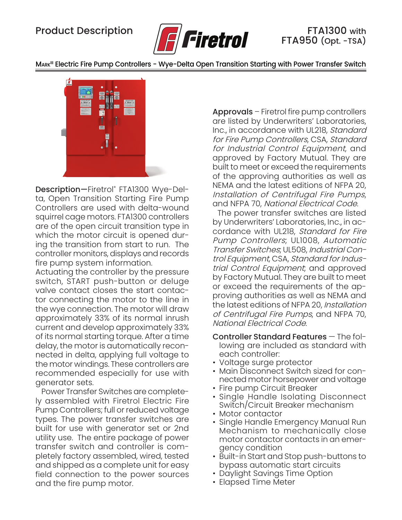

MARK<sup>III</sup> Electric Fire Pump Controllers - Wye-Delta Open Transition Starting with Power Transfer Switch



Description—Firetrol® FTA1300 Wye-Delta, Open Transition Starting Fire Pump Controllers are used with delta-wound squirrel cage motors. FTA1300 controllers are of the open circuit transition type in which the motor circuit is opened during the transition from start to run. The controller monitors, displays and records fire pump system information.

Actuating the controller by the pressure switch, START push-button or deluge valve contact closes the start contactor connecting the motor to the line in the wye connection. The motor will draw approximately 33% of its normal inrush current and develop approximately 33% of its normal starting torque. After a time delay, the motor is automatically reconnected in delta, applying full voltage to the motor windings. These controllers are recommended especially for use with generator sets.

Power Transfer Switches are completely assembled with Firetrol Electric Fire Pump Controllers; full or reduced voltage types. The power transfer switches are built for use with generator set or 2nd utility use. The entire package of power transfer switch and controller is completely factory assembled, wired, tested and shipped as a complete unit for easy field connection to the power sources and the fire pump motor.

Approvals – Firetrol fire pump controllers are listed by Underwriters' Laboratories, Inc., in accordance with UL218, Standard for Fire Pump Controllers, CSA, Standard for Industrial Control Equipment, and approved by Factory Mutual. They are built to meet or exceed the requirements of the approving authorities as well as NEMA and the latest editions of NFPA 20, Installation of Centrifugal Fire Pumps, and NFPA 70, National Electrical Code.

 The power transfer switches are listed by Underwriters' Laboratories, Inc., in accordance with UL218, Standard for Fire Pump Controllers; UL1008, Automatic Transfer Switches; UL508, Industrial Control Equipment, CSA, Standard for Industrial Control Equipment; and approved by Factory Mutual. They are built to meet or exceed the requirements of the approving authorities as well as NEMA and the latest editions of NFPA 20, Installation of Centrifugal Fire Pumps, and NFPA 70, National Electrical Code.

- Controller Standard Features The following are included as standard with each controller:
- Voltage surge protector
- Main Disconnect Switch sized for connected motor horsepower and voltage
- Fire pump Circuit Breaker
- Single Handle Isolating Disconnect Switch/Circuit Breaker mechanism
- Motor contactor
- Single Handle Emergency Manual Run Mechanism to mechanically close motor contactor contacts in an emergency condition
- Built-in Start and Stop push-buttons to bypass automatic start circuits
- Daylight Savings Time Option
- Elapsed Time Meter